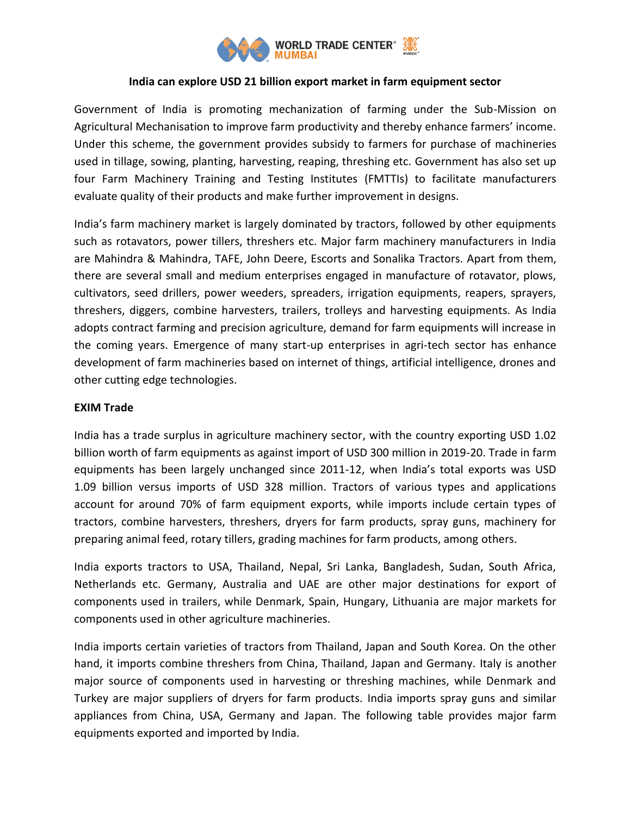

## **India can explore USD 21 billion export market in farm equipment sector**

Government of India is promoting mechanization of farming under the Sub-Mission on Agricultural Mechanisation to improve farm productivity and thereby enhance farmers' income. Under this scheme, the government provides subsidy to farmers for purchase of machineries used in tillage, sowing, planting, harvesting, reaping, threshing etc. Government has also set up four Farm Machinery Training and Testing Institutes (FMTTIs) to facilitate manufacturers evaluate quality of their products and make further improvement in designs.

India's farm machinery market is largely dominated by tractors, followed by other equipments such as rotavators, power tillers, threshers etc. Major farm machinery manufacturers in India are Mahindra & Mahindra, TAFE, John Deere, Escorts and Sonalika Tractors. Apart from them, there are several small and medium enterprises engaged in manufacture of rotavator, plows, cultivators, seed drillers, power weeders, spreaders, irrigation equipments, reapers, sprayers, threshers, diggers, combine harvesters, trailers, trolleys and harvesting equipments. As India adopts contract farming and precision agriculture, demand for farm equipments will increase in the coming years. Emergence of many start-up enterprises in agri-tech sector has enhance development of farm machineries based on internet of things, artificial intelligence, drones and other cutting edge technologies.

## **EXIM Trade**

India has a trade surplus in agriculture machinery sector, with the country exporting USD 1.02 billion worth of farm equipments as against import of USD 300 million in 2019-20. Trade in farm equipments has been largely unchanged since 2011-12, when India's total exports was USD 1.09 billion versus imports of USD 328 million. Tractors of various types and applications account for around 70% of farm equipment exports, while imports include certain types of tractors, combine harvesters, threshers, dryers for farm products, spray guns, machinery for preparing animal feed, rotary tillers, grading machines for farm products, among others.

India exports tractors to USA, Thailand, Nepal, Sri Lanka, Bangladesh, Sudan, South Africa, Netherlands etc. Germany, Australia and UAE are other major destinations for export of components used in trailers, while Denmark, Spain, Hungary, Lithuania are major markets for components used in other agriculture machineries.

India imports certain varieties of tractors from Thailand, Japan and South Korea. On the other hand, it imports combine threshers from China, Thailand, Japan and Germany. Italy is another major source of components used in harvesting or threshing machines, while Denmark and Turkey are major suppliers of dryers for farm products. India imports spray guns and similar appliances from China, USA, Germany and Japan. The following table provides major farm equipments exported and imported by India.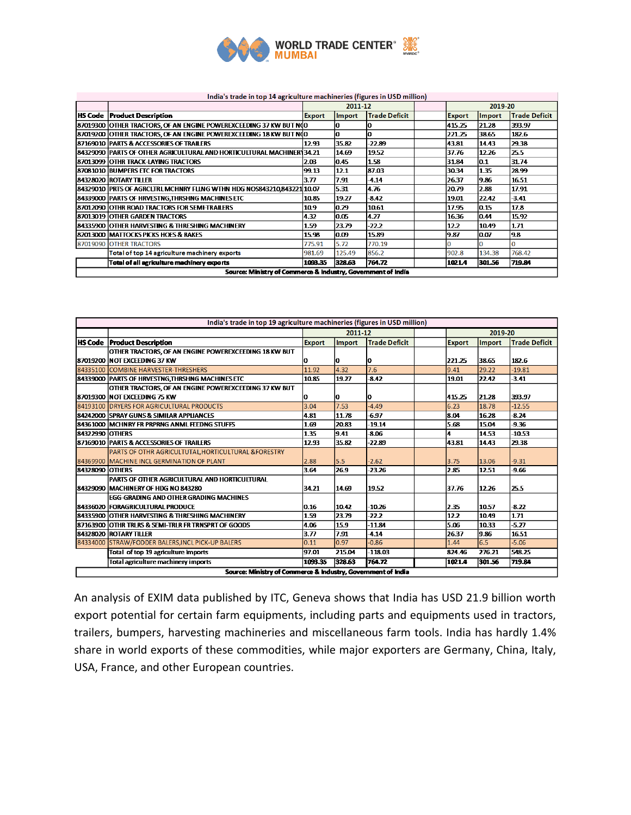

## India's trade in top 14 agriculture machineries (figures in USD million)

|                                                              | 2011-12<br>2019-20                                                     |         |        |                      |  |               |               |                      |
|--------------------------------------------------------------|------------------------------------------------------------------------|---------|--------|----------------------|--|---------------|---------------|----------------------|
|                                                              |                                                                        |         |        |                      |  |               |               |                      |
|                                                              | <b>HS Code</b> Product Description                                     | Export  | Import | <b>Trade Deficit</b> |  | <b>Export</b> | <b>Import</b> | <b>Trade Deficit</b> |
|                                                              | 87019300 OTHER TRACTORS, OF AN ENGINE POWEREXCEEDING 37 KW BUT N(0     |         |        |                      |  | 415.25        | 21.28         | 393.97               |
|                                                              | 87019200 OTHER TRACTORS, OF AN ENGINE POWEREXCEEDING 18 KW BUT N(0     |         |        |                      |  | 221.25        | 38.65         | 182.6                |
|                                                              | 87169010 PARTS & ACCESSORIES OF TRAILERS                               | 12.93   | 35.82  | -22.89               |  | 43.81         | 14.43         | 29.38                |
|                                                              | 84329090 PARTS OF OTHER AGRICULTURAL AND HORTICULTURAL MACHINERY34.21  |         | 14.69  | 19.52                |  | 37.76         | 12.26         | 25.5                 |
|                                                              | 187013099   OTHR TRACK-LAYING TRACTORS                                 | 2.03    | lO 45. | 1.58                 |  | 31.84         | 10.1          | 31.74                |
|                                                              | 87081010 BUMPERS ETC FOR TRACTORS                                      | 99.13   | 12.1   | 87.03                |  | 30.34         | 1.35          | 28.99                |
|                                                              | 184328020 ROTARY TILLER                                                | 3.77    | 7.91   | $-4.14$              |  | 26.37         | 9.86          | 16.51                |
|                                                              | 84329010 PRTS OF AGRCLTRL MCHNRY FLLNG WTHN HDG NOS843210.843221 10.07 |         | 5.31   | 4.76                 |  | 20.79         | 2.88          | 17.91                |
|                                                              | 84339000 PARTS OF HRVESTNG, THRSHNG MACHINES ETC                       | 10.85   | 19.27  | $-8.42$              |  | 19.01         | 22.42         | $-3.41$              |
|                                                              | 87012090 OTHR ROAD TRACTORS FOR SEMI-TRAILERS                          | 10.9    | 0.29   | 10.61                |  | 17.95         | 0.15          | 17.8                 |
|                                                              | 87013019 OTHER GARDEN TRACTORS                                         | 4.32    | 10.05  | 4.27                 |  | 16.36         | 0.44          | 15.92                |
|                                                              | 184335900  OTHER HARVESTING & THRESHING MACHINERY                      | 1.59    | 23.79  | $-22.2$              |  | 12.2          | 10.49         | 1.71                 |
|                                                              | 82013000   MATTOCKS PICKS HOES & RAKES                                 | 15.98   | 10.09  | 15.89                |  | 19.87         | lo.o7         | 19.8                 |
|                                                              | 87019090 OTHER TRACTORS                                                | 775.91  | 5.72   | 770.19               |  |               |               | O                    |
|                                                              | Total of top 14 agriculture machinery exports                          | 981.69  | 125.49 | 856.2                |  | 902.8         | 134.38        | 768.42               |
|                                                              | Total of all agriculture machinery exports                             | 1093.35 | 328.63 | 764.72               |  | 1021.4        | 301.56        | 719.84               |
| Source: Ministry of Commerce & Industry, Government of India |                                                                        |         |        |                      |  |               |               |                      |

| India's trade in top 19 agriculture machineries (figures in USD million) |                                                               |               |               |                      |         |               |        |                      |  |
|--------------------------------------------------------------------------|---------------------------------------------------------------|---------------|---------------|----------------------|---------|---------------|--------|----------------------|--|
|                                                                          |                                                               | 2011-12       |               |                      | 2019-20 |               |        |                      |  |
|                                                                          | <b>HS Code Product Description</b>                            | <b>Export</b> | <b>Import</b> | <b>Trade Deficit</b> |         | <b>Export</b> | Import | <b>Trade Deficit</b> |  |
|                                                                          | OTHER TRACTORS, OF AN ENGINE POWEREXCEEDING 18 KW BUT         |               |               |                      |         |               |        |                      |  |
|                                                                          | 87019200 INOT EXCEEDING 37 KW                                 | o             | IO.           | o                    |         | 221.25        | 38.65  | 182.6                |  |
|                                                                          | 84335100 COMBINE HARVESTER-THRESHERS                          | 11.92         | 4.32          | 7.6                  |         | 9.41          | 29.22  | $-19.81$             |  |
|                                                                          | 84339000 PARTS OF HRVESTNG, THRSHNG MACHINES ETC              | 10.85         | 19.27         | $-8.42$              |         | 19.01         | 22.42  | $-3.41$              |  |
|                                                                          | OTHER TRACTORS, OF AN ENGINE POWEREXCEEDING 37 KW BUT         |               |               |                      |         |               |        |                      |  |
|                                                                          | 87019300 INOT EXCEEDING 75 KW                                 | IО            | 10            | 10                   |         | 415.25        | 21.28  | 393.97               |  |
|                                                                          | 84193100 DRYERS FOR AGRICULTURAL PRODUCTS                     | 3.04          | 7.53          | $-4.49$              |         | 6.23          | 18.78  | $-12.55$             |  |
|                                                                          | 84242000 ISPRAY GUNS & SIMILAR APPLIANCES                     | 4.81          | 11.78         | -6.97                |         | 8.04          | 16.28  | $-8.24$              |  |
|                                                                          | 84361000 MCHNRY FR PRPRNG ANML FEEDNG STUFFS                  | 1.69          | 20.83         | $-19.14$             |         | 5.68          | 15.04  | $-9.36$              |  |
| 84322990 IOTHERS                                                         |                                                               | 1.35          | 9.41          | $-8.06$              |         |               | 14.53  | $-10.53$             |  |
|                                                                          | 87169010 PARTS & ACCESSORIES OF TRAILERS                      | 12.93         | 35.82         | $-22.89$             |         | 43.81         | 14.43  | 29.38                |  |
|                                                                          | <b>PARTS OF OTHR AGRICULTUTAL HORTICULTURAL &amp;FORESTRY</b> |               |               |                      |         |               |        |                      |  |
|                                                                          | 84369900 MACHINE INCL GERMINATION OF PLANT                    | 2.88          | 5.5           | $-2.62$              |         | 3.75          | 13.06  | $-9.31$              |  |
| 84328090 OTHERS                                                          |                                                               | 3.64          | 26.9          | $-23.26$             |         | 2.85          | 12.51  | -9.66                |  |
|                                                                          | PARTS OF OTHER AGRICULTURAL AND HORTICULTURAL                 |               |               |                      |         |               |        |                      |  |
|                                                                          | 84329090   MACHINERY OF HDG NO 843280                         | 34.21         | 14.69         | 19.52                |         | 37.76         | 12.26  | 25.5                 |  |
|                                                                          | <b>EGG-GRADING AND OTHER GRADING MACHINES</b>                 |               |               |                      |         |               |        |                      |  |
|                                                                          | 84336020 FORAGRICULTURAL PRODUCE                              | 0.16          | 10.42         | $-10.26$             |         | 2.35          | 10.57  | $-8.22$              |  |
|                                                                          | 84335900 OTHER HARVESTING & THRESHING MACHINERY               | 1.59          | 23.79         | $-22.2$              |         | 12.2          | 10.49  | 1.71                 |  |
|                                                                          | 87163900 OTHR TRLRS & SEMI-TRLR FR TRNSPRT OF GOODS           | 4.06          | 15.9          | $-11.84$             |         | 5.06          | 10.33  | $-5.27$              |  |
|                                                                          | 84328020 ROTARY TILLER                                        | 3.77          | 7.91          | $-4.14$              |         | 26.37         | 9.86   | 16.51                |  |
|                                                                          | 84334000 STRAW/FODDER BALERS, INCL PICK-UP BALERS             | 0.11          | 0.97          | $-0.86$              |         | 1.44          | 6.5    | $-5.06$              |  |
|                                                                          | Total of top 19 agriculture imports                           | 97.01         | 215.04        | $-118.03$            |         | 824.46        | 276.21 | 548.25               |  |
|                                                                          | Total agriculture machinery imports                           | 1093.35       | 328.63        | 764.72               |         | 1021.4        | 301.56 | 719.84               |  |
| Source: Ministry of Commerce & Industry, Government of India             |                                                               |               |               |                      |         |               |        |                      |  |

An analysis of EXIM data published by ITC, Geneva shows that India has USD 21.9 billion worth export potential for certain farm equipments, including parts and equipments used in tractors, trailers, bumpers, harvesting machineries and miscellaneous farm tools. India has hardly 1.4% share in world exports of these commodities, while major exporters are Germany, China, Italy, USA, France, and other European countries.